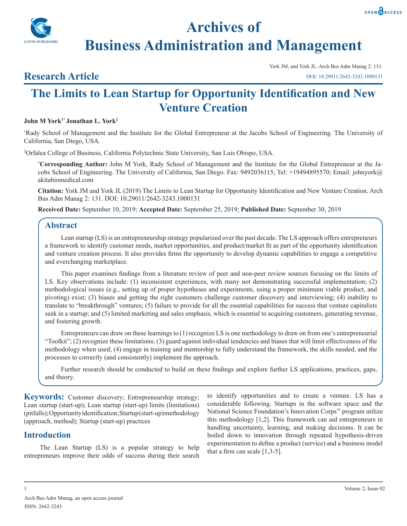



**Archives of Business Administration and Management**

## **Research Article**

York JM, and York JL. Arch Bus Adm Manag 2: 131. DOI: 10.29011/2642-3243.1000131

# **The Limits to Lean Startup for Opportunity Identification and New Venture Creation**

## **John M York1\* Jonathan L. York2**

1 Rady School of Management and the Institute for the Global Entrepreneur at the Jacobs School of Engineering. The University of California, San Diego, USA.

2 Orfalea College of Business, California Polytechnic State University, San Luis Obispo, USA.

**\* Corresponding Author:** John M York, Rady School of Management and the Institute for the Global Entrepreneur at the Jacobs School of Engineering. The University of California, San Diego. Fax: 9492036115; Tel: +19494895570; Email: johnyork@ akitabiomedical.com

**Citation:** York JM and York JL (2019) The Limits to Lean Startup for Opportunity Identification and New Venture Creation. Arch Bus Adm Manag 2: 131. DOI: 10.29011/2642-3243.1000131

**Received Date:** September 10, 2019; **Accepted Date:** September 25, 2019; **Published Date:** September 30, 2019

## **Abstract**

Lean startup (LS) is an entrepreneurship strategy popularized over the past decade. The LS approach offers entrepreneurs a framework to identify customer needs, market opportunities, and product/market fit as part of the opportunity identification and venture creation process. It also provides firms the opportunity to develop dynamic capabilities to engage a competitive and everchanging marketplace.

This paper examines findings from a literature review of peer and non-peer review sources focusing on the limits of LS. Key observations include: (1) inconsistent experiences, with many not demonstrating successful implementation; (2) methodological issues (e.g., setting up of proper hypotheses and experiments, using a proper minimum viable product, and pivoting) exist; (3) biases and getting the right customers challenge customer discovery and interviewing; (4) inability to translate to "breakthrough" ventures; (5) failure to provide for all the essential capabilities for success that venture capitalists seek in a startup; and (5) limited marketing and sales emphasis, which is essential to acquiring customers, generating revenue, and fostering growth.

Entrepreneurs can draw on these learnings to (1) recognize LS is one methodology to draw on from one's entrepreneurial "Toolkit"; (2) recognize these limitations; (3) guard against individual tendencies and biases that will limit effectiveness of the methodology when used; (4) engage in training and mentorship to fully understand the framework, the skills needed, and the processes to correctly (and consistently) implement the approach.

Further research should be conducted to build on these findings and explore further LS applications, practices, gaps, and theory.

**Keywords:** Customer discovery; Entrepreneurship strategy; Lean startup (start-up); Lean startup (start-up) limits (limitations) (pitfalls); Opportunity identification; Startup (start-up) methodology (approach, method); Startup (start-up) practices

## **Introduction**

The Lean Startup (LS) is a popular strategy to help entrepreneurs improve their odds of success during their search to identify opportunities and to create a venture. LS has a considerable following. Startups in the software space and the National Science Foundation's Innovation Corps™ program utilize this methodology [1,2]. This framework can aid entrepreneurs in handling uncertainty, learning, and making decisions. It can be boiled down to innovation through repeated hypothesis-driven experimentation to define a product (service) and a business model that a firm can scale  $[1,3-5]$ .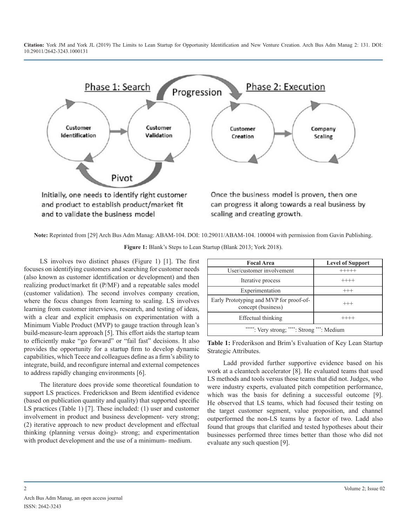

**Note:** Reprinted from [29] Arch Bus Adm Manag: ABAM-104. DOI: 10.29011/ABAM-104. 100004 with permission from Gavin Publishing.

| <b>Focal Area</b>                                             | <b>Level of Support</b> |
|---------------------------------------------------------------|-------------------------|
| User/customer involvement                                     | $+++++$                 |
| Iterative process                                             | $++++-$                 |
| Experimentation                                               | $^{+++}$                |
| Early Prototyping and MVP for proof-of-<br>concept (business) | $^{+++}$                |
| Effectual thinking                                            | $^{++++}$               |
| *****: Very strong; ****: Strong ***: Medium                  |                         |

**Figure 1:** Blank's Steps to Lean Startup (Blank 2013; York 2018).

LS involves two distinct phases (Figure 1) [1]. The first focuses on identifying customers and searching for customer needs (also known as customer identification or development) and then realizing product/market fit (P/MF) and a repeatable sales model (customer validation). The second involves company creation, where the focus changes from learning to scaling. LS involves learning from customer interviews, research, and testing of ideas, with a clear and explicit emphasis on experimentation with a Minimum Viable Product (MVP) to gauge traction through lean's build-measure-learn approach [5]. This effort aids the startup team to efficiently make "go forward" or "fail fast" decisions. It also provides the opportunity for a startup firm to develop dynamic capabilities, which Teece and colleagues define as a firm's ability to integrate, build, and reconfigure internal and external competences to address rapidly changing environments [6].

The literature does provide some theoretical foundation to support LS practices. Frederickson and Brem identified evidence (based on publication quantity and quality) that supported specific LS practices (Table 1) [7]. These included: (1) user and customer involvement in product and business development- very strong; (2) iterative approach to new product development and effectual thinking (planning versus doing)- strong; and experimentation with product development and the use of a minimum- medium.

**Table 1:** Frederikson and Brim's Evaluation of Key Lean Startup Strategic Attributes.

Ladd provided further supportive evidence based on his work at a cleantech accelerator [8]. He evaluated teams that used LS methods and tools versus those teams that did not. Judges, who were industry experts, evaluated pitch competition performance, which was the basis for defining a successful outcome [9]. He observed that LS teams, which had focused their testing on the target customer segment, value proposition, and channel outperformed the non-LS teams by a factor of two. Ladd also found that groups that clarified and tested hypotheses about their businesses performed three times better than those who did not evaluate any such question [9].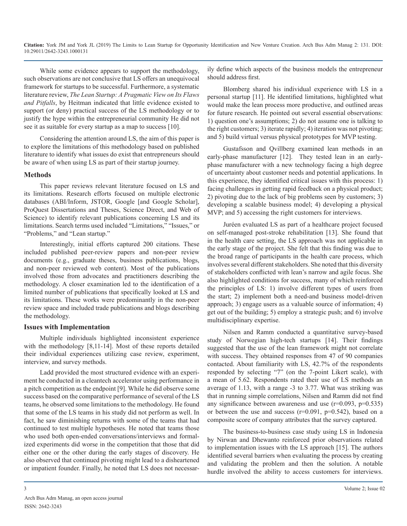While some evidence appears to support the methodology, such observations are not conclusive that LS offers an unequivocal framework for startups to be successful. Furthermore, a systematic literature review, *The Lean Startup: A Pragmatic View on Its Flaws and Pitfalls*, by Heitman indicated that little evidence existed to support (or deny) practical success of the LS methodology or to justify the hype within the entrepreneurial community He did not see it as suitable for every startup as a map to success [10].

Considering the attention around LS, the aim of this paper is to explore the limitations of this methodology based on published literature to identify what issues do exist that entrepreneurs should be aware of when using LS as part of their startup journey.

#### **Methods**

This paper reviews relevant literature focused on LS and its limitations. Research efforts focused on multiple electronic databases (ABI/Inform, JSTOR, Google [and Google Scholar], ProQuest Dissertations and Theses, Science Direct, and Web of Science) to identify relevant publications concerning LS and its limitations. Search terms used included "Limitations," "Issues," or "Problems," and "Lean startup."

Interestingly, initial efforts captured 200 citations. These included published peer-review papers and non-peer review documents (e.g., graduate theses, business publications, blogs, and non-peer reviewed web content). Most of the publications involved those from advocates and practitioners describing the methodology. A closer examination led to the identification of a limited number of publications that specifically looked at LS and its limitations. These works were predominantly in the non-peer review space and included trade publications and blogs describing the methodology.

#### **Issues with Implementation**

Multiple individuals highlighted inconsistent experience with the methodology [8,11-14]. Most of these reports detailed their individual experiences utilizing case review, experiment, interview, and survey methods.

Ladd provided the most structured evidence with an experiment he conducted in a cleantech accelerator using performance in a pitch competition as the endpoint [9]. While he did observe some success based on the comparative performance of several of the LS teams, he observed some limitations to the methodology. He found that some of the LS teams in his study did not perform as well. In fact, he saw diminishing returns with some of the teams that had continued to test multiple hypotheses. He noted that teams those who used both open-ended conversations/interviews and formalized experiments did worse in the competition that those that did either one or the other during the early stages of discovery. He also observed that continued pivoting might lead to a disheartened or impatient founder. Finally, he noted that LS does not necessarily define which aspects of the business models the entrepreneur should address first.

Blomberg shared his individual experience with LS in a personal startup [11]. He identified limitations, highlighted what would make the lean process more productive, and outlined areas for future research. He pointed out several essential observations: 1) question one's assumptions; 2) do not assume one is talking to the right customers; 3) iterate rapidly; 4) iteration was not pivoting; and 5) build virtual versus physical prototypes for MVP testing.

Gustafsson and Qvillberg examined lean methods in an early-phase manufacturer [12]. They tested lean in an earlyphase manufacturer with a new technology facing a high degree of uncertainty about customer needs and potential applications. In this experience, they identified critical issues with this process: 1) facing challenges in getting rapid feedback on a physical product; 2) pivoting due to the lack of big problems seen by customers; 3) developing a scalable business model; 4) developing a physical MVP; and 5) accessing the right customers for interviews.

Juréen evaluated LS as part of a healthcare project focused on self-managed post-stroke rehabilitation [13]. She found that in the health care setting, the LS approach was not applicable in the early stage of the project. She felt that this finding was due to the broad range of participants in the health care process, which involves several different stakeholders. She noted that this diversity of stakeholders conflicted with lean's narrow and agile focus. She also highlighted conditions for success, many of which reinforced the principles of LS: 1) involve different types of users from the start; 2) implement both a need-and business model-driven approach; 3) engage users as a valuable source of information; 4) get out of the building; 5) employ a strategic push; and 6) involve multidisciplinary expertise.

Nilsen and Ramm conducted a quantitative survey-based study of Norwegian high-tech startups [14]. Their findings suggested that the use of the lean framework might not correlate with success. They obtained responses from 47 of 90 companies contacted. About familiarity with LS, 42.7% of the respondents responded by selecting "7" (on the 7-point Likert scale), with a mean of 5.62. Respondents rated their use of LS methods an average of 1.13, with a range -3 to 3.77. What was striking was that in running simple correlations, Nilsen and Ramm did not find any significance between awareness and use  $(r=0.093, p=0.535)$ or between the use and success  $(r=0.091, p=0.542)$ , based on a composite score of company attributes that the survey captured.

The business-to-business case study using LS in Indonesia by Nirwan and Dhewanto reinforced prior observations related to implementation issues with the LS approach [15]. The authors identified several barriers when evaluating the process by creating and validating the problem and then the solution. A notable hurdle involved the ability to access customers for interviews.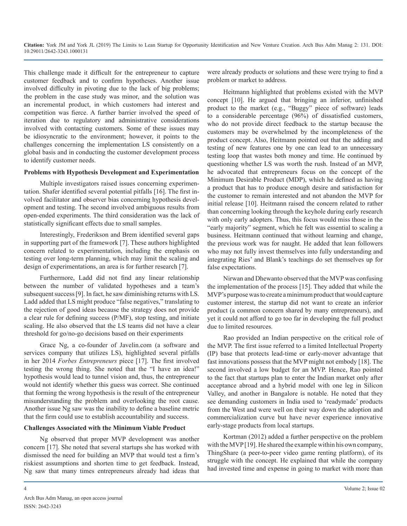This challenge made it difficult for the entrepreneur to capture customer feedback and to confirm hypotheses. Another issue involved difficulty in pivoting due to the lack of big problems; the problem in the case study was minor, and the solution was an incremental product, in which customers had interest and competition was fierce. A further barrier involved the speed of iteration due to regulatory and administrative considerations involved with contacting customers. Some of these issues may be idiosyncratic to the environment; however, it points to the challenges concerning the implementation LS consistently on a global basis and in conducting the customer development process to identify customer needs.

#### **Problems with Hypothesis Development and Experimentation**

Multiple investigators raised issues concerning experimentation. Shafer identified several potential pitfalls [16]. The first involved facilitator and observer bias concerning hypothesis development and testing. The second involved ambiguous results from open-ended experiments. The third consideration was the lack of statistically significant effects due to small samples.

Interestingly, Frederikson and Brem identified several gaps in supporting part of the framework [7]. These authors highlighted concern related to experimentation, including the emphasis on testing over long-term planning, which may limit the scaling and design of experimentations, an area is for further research [7].

Furthermore, Ladd did not find any linear relationship between the number of validated hypotheses and a team's subsequent success [9]. In fact, he saw diminishing returns with LS. Ladd added that LS might produce "false negatives," translating to the rejection of good ideas because the strategy does not provide a clear rule for defining success (P/MF), stop testing, and initiate scaling. He also observed that the LS teams did not have a clear threshold for go/no-go decisions based on their experiments

Grace Ng, a co-founder of Javelin.com (a software and services company that utilizes LS), highlighted several pitfalls in her 2014 *Forbes Entrepreneurs* piece [17]. The first involved testing the wrong thing. She noted that the "I have an idea!" hypothesis would lead to tunnel vision and, thus, the entrepreneur would not identify whether this guess was correct. She continued that forming the wrong hypothesis is the result of the entrepreneur misunderstanding the problem and overlooking the root cause. Another issue Ng saw was the inability to define a baseline metric that the firm could use to establish accountability and success.

#### **Challenges Associated with the Minimum Viable Product**

Ng observed that proper MVP development was another concern [17]. She noted that several startups she has worked with dismissed the need for building an MVP that would test a firm's riskiest assumptions and shorten time to get feedback. Instead, Ng saw that many times entrepreneurs already had ideas that

were already products or solutions and these were trying to find a problem or market to address.

Heitmann highlighted that problems existed with the MVP concept [10]. He argued that bringing an inferior, unfinished product to the market (e.g., "Buggy" piece of software) leads to a considerable percentage (96%) of dissatisfied customers, who do not provide direct feedback to the startup because the customers may be overwhelmed by the incompleteness of the product concept. Also, Heitmann pointed out that the adding and testing of new features one by one can lead to an unnecessary testing loop that wastes both money and time. He continued by questioning whether LS was worth the rush. Instead of an MVP, he advocated that entrepreneurs focus on the concept of the Minimum Desirable Product (MDP), which he defined as having a product that has to produce enough desire and satisfaction for the customer to remain interested and not abandon the MVP for initial release [10]. Heitmann raised the concern related to rather than concerning looking through the keyhole during early research with only early adopters. Thus, this focus would miss those in the "early majority" segment, which he felt was essential to scaling a business. Heitmann continued that without learning and change, the previous work was for naught. He added that lean followers who may not fully invest themselves into fully understanding and integrating Ries' and Blank's teachings do set themselves up for false expectations.

Nirwan and Dhewanto observed that the MVP was confusing the implementation of the process [15]. They added that while the MVP's purpose was to create a minimum product that would capture customer interest, the startup did not want to create an inferior product (a common concern shared by many entrepreneurs), and yet it could not afford to go too far in developing the full product due to limited resources.

Rao provided an Indian perspective on the critical role of the MVP. The first issue referred to a limited Intellectual Property (IP) base that protects lead-time or early-mover advantage that fast innovations possess that the MVP might not embody [18]. The second involved a low budget for an MVP. Hence, Rao pointed to the fact that startups plan to enter the Indian market only after acceptance abroad and a hybrid model with one leg in Silicon Valley, and another in Bangalore is notable. He noted that they see demanding customers in India used to 'readymade' products from the West and were well on their way down the adoption and commercialization curve but have never experience innovative early-stage products from local startups.

Kortman (2012) added a further perspective on the problem with the MVP [19]. He shared the example within his own company, ThingShare (a peer-to-peer video game renting platform), of its struggle with the concept. He explained that while the company had invested time and expense in going to market with more than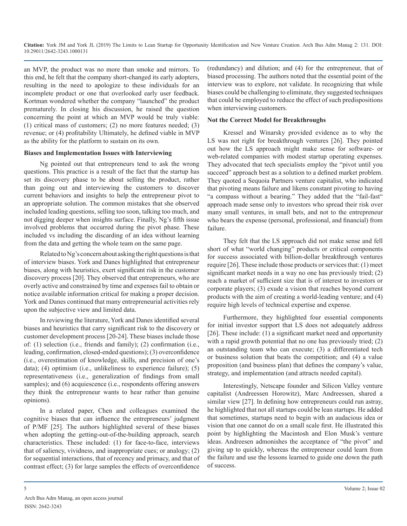an MVP, the product was no more than smoke and mirrors. To this end, he felt that the company short-changed its early adopters, resulting in the need to apologize to these individuals for an incomplete product or one that overlooked early user feedback. Kortman wondered whether the company "launched" the product prematurely. In closing his discussion, he raised the question concerning the point at which an MVP would be truly viable: (1) critical mass of customers; (2) no more features needed; (3) revenue; or (4) profitability Ultimately, he defined viable in MVP as the ability for the platform to sustain on its own.

#### **Biases and Implementation Issues with Interviewing**

Ng pointed out that entrepreneurs tend to ask the wrong questions. This practice is a result of the fact that the startup has set its discovery phase to be about selling the product, rather than going out and interviewing the customers to discover current behaviors and insights to help the entrepreneur pivot to an appropriate solution. The common mistakes that she observed included leading questions, selling too soon, talking too much, and not digging deeper when insights surface. Finally, Ng's fifth issue involved problems that occurred during the pivot phase. These included vs including the discarding of an idea without learning from the data and getting the whole team on the same page.

Related to Ng's concern about asking the right questions is that of interview biases. York and Danes highlighted that entrepreneur biases, along with heuristics, exert significant risk in the customer discovery process [20]. They observed that entrepreneurs, who are overly active and constrained by time and expenses fail to obtain or notice available information critical for making a proper decision. York and Danes continued that many entrepreneurial activities rely upon the subjective view and limited data.

In reviewing the literature, York and Danes identified several biases and heuristics that carry significant risk to the discovery or customer development process [20-24]. These biases include those of: (1) selection (i.e., friends and family); (2) confirmation (i.e., leading, confirmation, closed-ended questions); (3) overconfidence (i.e., overestimation of knowledge, skills, and precision of one's data); (4) optimism (i.e., unlikeliness to experience failure); (5) representativeness (i.e., generalization of findings from small samples); and (6) acquiescence (i.e., respondents offering answers they think the entrepreneur wants to hear rather than genuine opinions).

In a related paper, Chen and colleagues examined the cognitive biases that can influence the entrepreneurs' judgment of P/MF [25]. The authors highlighted several of these biases when adopting the getting-out-of-the-building approach, search characteristics. These included: (1) for face-to-face, interviews that of saliency, vividness, and inappropriate cues; or analogy; (2) for sequential interactions, that of recency and primacy, and that of contrast effect; (3) for large samples the effects of overconfidence

(redundancy) and dilution; and (4) for the entrepreneur, that of biased processing. The authors noted that the essential point of the interview was to explore, not validate. In recognizing that while biases could be challenging to eliminate, they suggested techniques that could be employed to reduce the effect of such predispositions when interviewing customers.

#### **Not the Correct Model for Breakthroughs**

Kressel and Winarsky provided evidence as to why the LS was not right for breakthrough ventures [26]. They pointed out how the LS approach might make sense for software- or web-related companies with modest startup operating expenses. They advocated that tech specialists employ the "pivot until you succeed" approach best as a solution to a defined market problem. They quoted a Sequoia Partners venture capitalist, who indicated that pivoting means failure and likens constant pivoting to having "a compass without a bearing." They added that the "fail-fast" approach made sense only to investors who spread their risk over many small ventures, in small bets, and not to the entrepreneur who bears the expense (personal, professional, and financial) from failure.

They felt that the LS approach did not make sense and fell short of what "world changing" products or critical components for success associated with billion-dollar breakthrough ventures require [26]. These include those products or services that: (1) meet significant market needs in a way no one has previously tried; (2) reach a market of sufficient size that is of interest to investors or corporate players; (3) exude a vision that reaches beyond current products with the aim of creating a world-leading venture; and (4) require high levels of technical expertise and expense.

Furthermore, they highlighted four essential components for initial investor support that LS does not adequately address [26]. These include: (1) a significant market need and opportunity with a rapid growth potential that no one has previously tried; (2) an outstanding team who can execute; (3) a differentiated tech or business solution that beats the competition; and (4) a value proposition (and business plan) that defines the company's value, strategy, and implementation (and attracts needed capital).

Interestingly, Netscape founder and Silicon Valley venture capitalist (Andreessen Horowitz), Marc Andreessen, shared a similar view [27]. In defining how entrepreneurs could run astray, he highlighted that not all startups could be lean startups. He added that sometimes, startups need to begin with an audacious idea or vision that one cannot do on a small scale first. He illustrated this point by highlighting the Macintosh and Elon Musk's venture ideas. Andreesen admonishes the acceptance of "the pivot" and giving up to quickly, whereas the entrepreneur could learn from the failure and use the lessons learned to guide one down the path of success.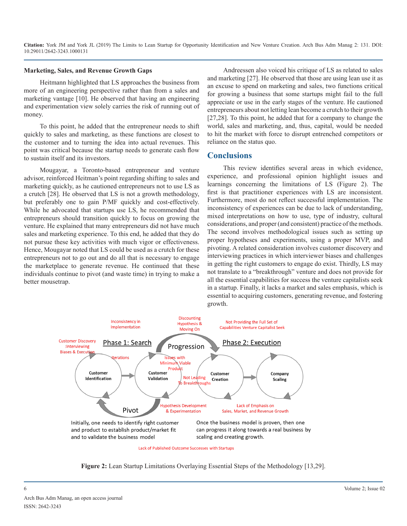#### **Marketing, Sales, and Revenue Growth Gaps**

Heitmann highlighted that LS approaches the business from more of an engineering perspective rather than from a sales and marketing vantage [10]. He observed that having an engineering and experimentation view solely carries the risk of running out of money.

To this point, he added that the entrepreneur needs to shift quickly to sales and marketing, as these functions are closest to the customer and to turning the idea into actual revenues. This point was critical because the startup needs to generate cash flow to sustain itself and its investors.

Mougayar, a Toronto-based entrepreneur and venture advisor, reinforced Heitman's point regarding shifting to sales and marketing quickly, as he cautioned entrepreneurs not to use LS as a crutch [28]. He observed that LS is not a growth methodology, but preferably one to gain P/MF quickly and cost-effectively. While he advocated that startups use LS, he recommended that entrepreneurs should transition quickly to focus on growing the venture. He explained that many entrepreneurs did not have much sales and marketing experience. To this end, he added that they do not pursue these key activities with much vigor or effectiveness. Hence, Mougayar noted that LS could be used as a crutch for these entrepreneurs not to go out and do all that is necessary to engage the marketplace to generate revenue. He continued that these individuals continue to pivot (and waste time) in trying to make a better mousetrap.

Andreessen also voiced his critique of LS as related to sales and marketing [27]. He observed that those are using lean use it as an excuse to spend on marketing and sales, two functions critical for growing a business that some startups might fail to the full appreciate or use in the early stages of the venture. He cautioned entrepreneurs about not letting lean become a crutch to their growth [27,28]. To this point, he added that for a company to change the world, sales and marketing, and, thus, capital, would be needed to hit the market with force to disrupt entrenched competitors or reliance on the status quo.

## **Conclusions**

This review identifies several areas in which evidence, experience, and professional opinion highlight issues and learnings concerning the limitations of LS (Figure 2). The first is that practitioner experiences with LS are inconsistent. Furthermore, most do not reflect successful implementation. The inconsistency of experiences can be due to lack of understanding, mixed interpretations on how to use, type of industry, cultural considerations, and proper (and consistent) practice of the methods. The second involves methodological issues such as setting up proper hypotheses and experiments, using a proper MVP, and pivoting. A related consideration involves customer discovery and interviewing practices in which interviewer biases and challenges in getting the right customers to engage do exist. Thirdly, LS may not translate to a "breakthrough" venture and does not provide for all the essential capabilities for success the venture capitalists seek in a startup. Finally, it lacks a market and sales emphasis, which is essential to acquiring customers, generating revenue, and fostering growth.



**Figure 2:** Lean Startup Limitations Overlaying Essential Steps of the Methodology [13,29].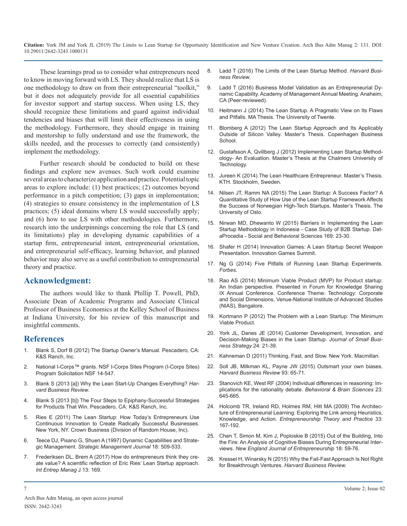These learnings prod us to consider what entrepreneurs need to know in moving forward with LS. They should realize that LS is one methodology to draw on from their entrepreneurial "toolkit," but it does not adequately provide for all essential capabilities for investor support and startup success. When using LS, they should recognize these limitations and guard against individual [tendencies and biases that will limit their effectiveness in using](https://essay.utwente.nl/66221/1/Heitmann_BA_MB.pdf)  the methodology. Furthermore, they should engage in training [and mentorship to fully understand and use the framework, the](https://studenttheses.cbs.dk/handle/10417/3434)  skills needed, and the processes to correctly (and consistently) implement the methodology.

Further research should be conducted to build on these findings and explore new avenues. Such work could examine [several areas to characterize application and practice. Potential topic](http://www.diva-portal.org/smash/get/diva2:724197/FULLTEXT01.pdf)  areas to explore include: (1) best practices; (2) outcomes beyond performance in a pitch competition; (3) gaps in implementation; (4) strategies to ensure consistency in the implementation of LS practices; (5) ideal domains where LS would successfully apply; and (6) how to use LS with other methodologies. Furthermore, [research into the underpinnings concerning the role that LS \(and](https://www.sciencedirect.com/science/article/pii/S1877042815003195)  its limitations) play in developing dynamic capabilities of a startup firm, entrepreneurial intent, entrepreneurial orientation, and entrepreneurial self-efficacy, learning behavior, and planned behavior may also serve as a useful contribution to entrepreneurial [theory and practice.](https://www.forbes.com/sites/groupthink/2014/04/28/five-pitfalls-of-running-lean-startup-experiments/#2e714a366296) 

## **Acknowledgment:**

The authors would like to thank Phillip T. Powell, PhD, Associate Dean of Academic Programs and Associate Clinical Professor of Business Economics at the Kelley School of Business [at Indiana University, for his review of this manuscript and](http://paulkortman.com/2012/11/21/the-problem-with-a-lean-startup-the-minimum-viable-product/)  insightful comments.

## **References**

- Blank S, Dorf B (2012) The Startup Owner's Manual. Pescadero, CA: K&S Ranch, Inc.
- 2. [National I-Corps™ grants. NSF I-Corps Sites Program \(I-Corps Sites\)](https://www.nsf.gov/pubs/2014/nsf14547/nsf14547.htm) [Program Solicitation NSF 14-547](https://www.nsf.gov/pubs/2014/nsf14547/nsf14547.htm)[.](https://hbr.org/2015/05/outsmart-your-own-biases)
- 3. [Blank S \(2013 \[a\]\) Why the Lean Start-Up Changes Everything?](https://hbr.org/2013/05/why-the-lean-start-up-changes-everything) *Har[vard Business Review](https://hbr.org/2013/05/why-the-lean-start-up-changes-everything)*.
- 4. Blank S (2013 [b]) The Four Steps to Epiphany-Successful Strategies for Products That Win. Pescadero, CA: K&S Ranch, Inc.
- 5. [Ries E \(2011\) The Lean Startup: How Today's Entrepreneurs Use](http://www.shapentrepreneurs.com/wp-content/uploads/2017/10/The-Lean-Startup-.pdf)  [Continuous Innovation to Create Radically Successful Businesses.](http://www.shapentrepreneurs.com/wp-content/uploads/2017/10/The-Lean-Startup-.pdf)  [New York, NY. Crown Business \(Division of Random House, Inc\).](http://www.shapentrepreneurs.com/wp-content/uploads/2017/10/The-Lean-Startup-.pdf)
- 6. [Teece DJ, Pisano G, Shuen A \(1997\) Dynamic Capabilities and Strate](https://www.jstor.org/stable/3088148?seq=1#page_scan_tab_contents)gic Management. *[Strategic Management Journal](https://www.jstor.org/stable/3088148?seq=1#page_scan_tab_contents)* 18: 509-533.
- 7. [Frederiksen DL, Brem A \(2017\) How do entrepreneurs think they cre](https://link.springer.com/article/10.1007/s11365-016-0411-xhttps:/doi.org/10.1007/s11365-016-0411-x)[ate value? A scientific reflection of Eric Ries' Lean Startup approach.](https://link.springer.com/article/10.1007/s11365-016-0411-xhttps:/doi.org/10.1007/s11365-016-0411-x) *[Int Entrep Manag](https://link.springer.com/article/10.1007/s11365-016-0411-xhttps:/doi.org/10.1007/s11365-016-0411-x)* J 13: 169.
- 8. [Ladd T \(2016\) The Limits of the Lean Startup Method.](https://hbr.org/2016/03/the-limits-of-the-lean-startup-method) *Harvard Busi[ness Review](https://hbr.org/2016/03/the-limits-of-the-lean-startup-method)*.
- 9. [Ladd T \(2016\) Business Model Validation as an Entrepreneurial Dy](https://journals.aom.org/doi/abs/10.5465/ambpp.2016.10705abstract)[namic Capability. Academy of Management Annual Meeting. Anaheim,](https://journals.aom.org/doi/abs/10.5465/ambpp.2016.10705abstract)  [CA \(Peer-reviewed\).](https://journals.aom.org/doi/abs/10.5465/ambpp.2016.10705abstract)
- 10. [Heitmann J \(2014\) The Lean Startup. A Pragmatic View on Its Flaws](https://essay.utwente.nl/66221/1/Heitmann_BA_MB.pdf)  and Pitfalls. MA Thesis. The University of Twente.
- 11. [Blomberg A \(2012\) The Lean Startup Approach and Its Applicably](https://studenttheses.cbs.dk/handle/10417/3434)  Outside of Silicon Valley. Master's Thesis. Copenhagen Business [School.](https://studenttheses.cbs.dk/handle/10417/3434)
- 12. [Gustafsson A, Qvillberg J \(2012\) Implementing Lean Startup Method](http://publications.lib.chalmers.se/records/fulltext/164603.pdf)[ology- An Evaluation. Master's Thesis at the Chalmers University of](http://publications.lib.chalmers.se/records/fulltext/164603.pdf)  [Technology.](http://publications.lib.chalmers.se/records/fulltext/164603.pdf)
- 13. [Jureen K \(2014\) The Lean Healthcare Entrepreneur. Master's Thesis.](http://www.diva-portal.org/smash/get/diva2:724197/FULLTEXT01.pdf)  KTH. Stockholm, Sweden.
- 14. [Nilsen JT, Ramm NA \(2015\) The Lean Startup: A Success Factor? A](https://pdfs.semanticscholar.org/fb1c/c8eba7aa46e08fada3c0ca4ac8d917746e2a.pdf)  [Quantitative Study of How Use of the Lean Startup Framework Affects](https://pdfs.semanticscholar.org/fb1c/c8eba7aa46e08fada3c0ca4ac8d917746e2a.pdf) [the Success of Norwegian High-Tech Startups. Master's Thesis. The](https://pdfs.semanticscholar.org/fb1c/c8eba7aa46e08fada3c0ca4ac8d917746e2a.pdf)  [University of Oslo.](https://pdfs.semanticscholar.org/fb1c/c8eba7aa46e08fada3c0ca4ac8d917746e2a.pdf)
- 15. [Nirwan MD, Dhewanto W \(2015\) Barriers in Implementing the Lean](https://www.sciencedirect.com/science/article/pii/S1877042815003195) Startup Methodology in Indonesia - Case Study of B2B Startup. Dat[aProcedia - Social and Behavioral Sciences 169: 23-30.](https://www.sciencedirect.com/science/article/pii/S1877042815003195)
- 16. Shafer H (2014) Innovation Games: A Lean Startup Secret Weapon Presentation. Innovation Games Summit.
- 17. [Ng G \(2014\) Five Pitfalls of Running Lean Startup Experiments.](https://www.forbes.com/sites/groupthink/2014/04/28/five-pitfalls-of-running-lean-startup-experiments/#2e714a366296)  *Forbes*.
- 18. [Rao AS \(2014\) Minimum Viable Product \(MVP\) for Product startup:](http://fgks.in/images/pdf/conf/ASRao.pdf)  [An Indian perspective. Presented in Forum for Knowledge Sharing](http://fgks.in/images/pdf/conf/ASRao.pdf)  [IX Annual Conference. Conference Theme: Technology: Corporate](http://fgks.in/images/pdf/conf/ASRao.pdf)  [and Social Dimensions, Venue-National Institute of Advanced Studies](http://fgks.in/images/pdf/conf/ASRao.pdf)  [\(NIAS\), Bangalore.](http://fgks.in/images/pdf/conf/ASRao.pdf)
- 19. [Kortmann P \(2012\) The Problem with a Lean Startup: The Minimum](http://paulkortman.com/2012/11/21/the-problem-with-a-lean-startup-the-minimum-viable-product/)  Viable Product.
- 20. [York JL, Danes JE \(2014\) Customer Development, Innovation, and](https://libjournals.mtsu.edu/index.php/jsbs/article/view/191/0)  [Decision-Making Biases in the Lean Startup.](https://libjournals.mtsu.edu/index.php/jsbs/article/view/191/0) *Journal of Small Busi[ness Strategy](https://libjournals.mtsu.edu/index.php/jsbs/article/view/191/0)* 24: 21-39.
- 21. Kahneman D (2011) Thinking, Fast, and Slow. New York. Macmillan.
- 22. [Soll JB, Milkman KL, Payne JW \(2015\) Outsmart your own biases.](https://hbr.org/2015/05/outsmart-your-own-biases)  *Harvard Business Review* 93: 65-71.
- 23. [Stanovich KE, West RF \(2004\) Individual differences in reasoning: Im](https://www.ncbi.nlm.nih.gov/pubmed/11301544)[plications for the rationality debate.](https://www.ncbi.nlm.nih.gov/pubmed/11301544) *Behavioral & Brain Sciences* 23: [645-665.](https://www.ncbi.nlm.nih.gov/pubmed/11301544)
- 24. [Holcomb TR, Ireland RD, Holmes RM, Hitt MA \(2009\) The Architec](https://papers.ssrn.com/sol3/papers.cfm?abstract_id=1321058)[ture of Entrepreneurial Learning: Exploring the Link among Heuristics,](https://papers.ssrn.com/sol3/papers.cfm?abstract_id=1321058)  Knowledge, and Action. *[Entrepreneurship Theory and Practice](https://papers.ssrn.com/sol3/papers.cfm?abstract_id=1321058)* 33: [167-192.](https://papers.ssrn.com/sol3/papers.cfm?abstract_id=1321058)
- 25. [Chen T, Simon M, Kim J, Poploskie B \(2015\) Out of the Building, Into](https://www.emerald.com/insight/content/doi/10.1108/NEJE-18-01-2015-B004/full/html)  [the Fire: An Analysis of Cognitive Biases During Entrepreneurial Inter](https://www.emerald.com/insight/content/doi/10.1108/NEJE-18-01-2015-B004/full/html)views. *[New England Journal of Entrepreneurship](https://www.emerald.com/insight/content/doi/10.1108/NEJE-18-01-2015-B004/full/html)* 18: 59-76.
- 26. [Kressel H, Winarsky N \(2015\) Why the Fail-Fast Approach Is Not Right](https://hbr.org/2015/11/why-the-fail-fast-approach-isnt-right-for-breakthrough-ventures) for Breakthrough Ventures. *Harvard Business Review.*